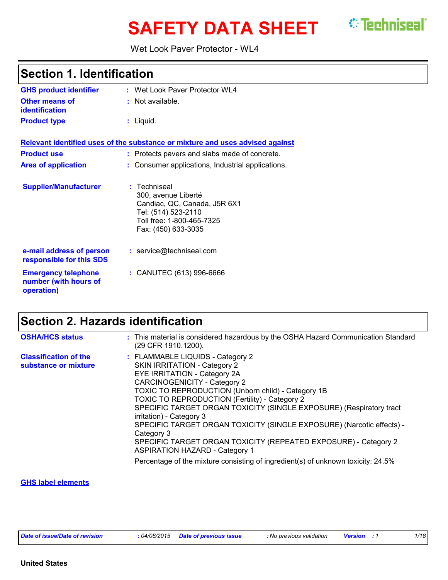# **SAFETY DATA SHEET** <sup>*©*</sup> Techniseal`</sup>

#### Wet Look Paver Protector - WL4

| <b>Section 1. Identification</b>                                  |                                                                                                                                                |  |
|-------------------------------------------------------------------|------------------------------------------------------------------------------------------------------------------------------------------------|--|
| <b>GHS product identifier</b>                                     | : Wet Look Paver Protector WL4                                                                                                                 |  |
| <b>Other means of</b><br><b>identification</b>                    | : Not available.                                                                                                                               |  |
| <b>Product type</b>                                               | $:$ Liquid.                                                                                                                                    |  |
|                                                                   | Relevant identified uses of the substance or mixture and uses advised against                                                                  |  |
| <b>Product use</b>                                                | : Protects pavers and slabs made of concrete.                                                                                                  |  |
| <b>Area of application</b>                                        | : Consumer applications, Industrial applications.                                                                                              |  |
| <b>Supplier/Manufacturer</b>                                      | : Techniseal<br>300, avenue Liberté<br>Candiac, QC, Canada, J5R 6X1<br>Tel: (514) 523-2110<br>Toll free: 1-800-465-7325<br>Fax: (450) 633-3035 |  |
| e-mail address of person<br>responsible for this SDS              | : service@techniseal.com                                                                                                                       |  |
| <b>Emergency telephone</b><br>number (with hours of<br>operation) | : CANUTEC (613) 996-6666                                                                                                                       |  |

# **Section 2. Hazards identification**

| <b>OSHA/HCS status</b>                               | : This material is considered hazardous by the OSHA Hazard Communication Standard<br>(29 CFR 1910.1200).                                                                                                                                                                                                                                                                                                                                                                                                                                                     |
|------------------------------------------------------|--------------------------------------------------------------------------------------------------------------------------------------------------------------------------------------------------------------------------------------------------------------------------------------------------------------------------------------------------------------------------------------------------------------------------------------------------------------------------------------------------------------------------------------------------------------|
| <b>Classification of the</b><br>substance or mixture | : FLAMMABLE LIQUIDS - Category 2<br><b>SKIN IRRITATION - Category 2</b><br>EYE IRRITATION - Category 2A<br><b>CARCINOGENICITY - Category 2</b><br>TOXIC TO REPRODUCTION (Unborn child) - Category 1B<br>TOXIC TO REPRODUCTION (Fertility) - Category 2<br>SPECIFIC TARGET ORGAN TOXICITY (SINGLE EXPOSURE) (Respiratory tract<br>irritation) - Category 3<br>SPECIFIC TARGET ORGAN TOXICITY (SINGLE EXPOSURE) (Narcotic effects) -<br>Category 3<br>SPECIFIC TARGET ORGAN TOXICITY (REPEATED EXPOSURE) - Category 2<br><b>ASPIRATION HAZARD - Category 1</b> |
|                                                      | Percentage of the mixture consisting of ingredient(s) of unknown toxicity: 24.5%                                                                                                                                                                                                                                                                                                                                                                                                                                                                             |

#### **GHS label elements**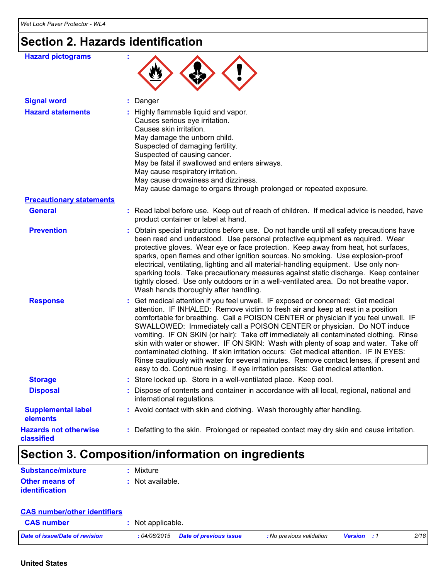# **Section 2. Hazards identification**

| <b>Hazard pictograms</b>                   |                                                                                                                                                                                                                                                                                                                                                                                                                                                                                                                                                                                                                                                                                                                                                                                              |
|--------------------------------------------|----------------------------------------------------------------------------------------------------------------------------------------------------------------------------------------------------------------------------------------------------------------------------------------------------------------------------------------------------------------------------------------------------------------------------------------------------------------------------------------------------------------------------------------------------------------------------------------------------------------------------------------------------------------------------------------------------------------------------------------------------------------------------------------------|
| <b>Signal word</b>                         | : Danger                                                                                                                                                                                                                                                                                                                                                                                                                                                                                                                                                                                                                                                                                                                                                                                     |
| <b>Hazard statements</b>                   | : Highly flammable liquid and vapor.<br>Causes serious eye irritation.<br>Causes skin irritation.<br>May damage the unborn child.<br>Suspected of damaging fertility.<br>Suspected of causing cancer.<br>May be fatal if swallowed and enters airways.<br>May cause respiratory irritation.<br>May cause drowsiness and dizziness.<br>May cause damage to organs through prolonged or repeated exposure.                                                                                                                                                                                                                                                                                                                                                                                     |
| <b>Precautionary statements</b>            |                                                                                                                                                                                                                                                                                                                                                                                                                                                                                                                                                                                                                                                                                                                                                                                              |
| <b>General</b>                             | : Read label before use. Keep out of reach of children. If medical advice is needed, have<br>product container or label at hand.                                                                                                                                                                                                                                                                                                                                                                                                                                                                                                                                                                                                                                                             |
| <b>Prevention</b>                          | : Obtain special instructions before use. Do not handle until all safety precautions have<br>been read and understood. Use personal protective equipment as required. Wear<br>protective gloves. Wear eye or face protection. Keep away from heat, hot surfaces,<br>sparks, open flames and other ignition sources. No smoking. Use explosion-proof<br>electrical, ventilating, lighting and all material-handling equipment. Use only non-<br>sparking tools. Take precautionary measures against static discharge. Keep container<br>tightly closed. Use only outdoors or in a well-ventilated area. Do not breathe vapor.<br>Wash hands thoroughly after handling.                                                                                                                        |
| <b>Response</b>                            | : Get medical attention if you feel unwell. IF exposed or concerned: Get medical<br>attention. IF INHALED: Remove victim to fresh air and keep at rest in a position<br>comfortable for breathing. Call a POISON CENTER or physician if you feel unwell. IF<br>SWALLOWED: Immediately call a POISON CENTER or physician. Do NOT induce<br>vomiting. IF ON SKIN (or hair): Take off immediately all contaminated clothing. Rinse<br>skin with water or shower. IF ON SKIN: Wash with plenty of soap and water. Take off<br>contaminated clothing. If skin irritation occurs: Get medical attention. IF IN EYES:<br>Rinse cautiously with water for several minutes. Remove contact lenses, if present and<br>easy to do. Continue rinsing. If eye irritation persists: Get medical attention. |
| <b>Storage</b>                             | : Store locked up. Store in a well-ventilated place. Keep cool.                                                                                                                                                                                                                                                                                                                                                                                                                                                                                                                                                                                                                                                                                                                              |
| <b>Disposal</b>                            | : Dispose of contents and container in accordance with all local, regional, national and<br>international regulations.                                                                                                                                                                                                                                                                                                                                                                                                                                                                                                                                                                                                                                                                       |
| <b>Supplemental label</b><br>elements      | : Avoid contact with skin and clothing. Wash thoroughly after handling.                                                                                                                                                                                                                                                                                                                                                                                                                                                                                                                                                                                                                                                                                                                      |
| <b>Hazards not otherwise</b><br>classified | : Defatting to the skin. Prolonged or repeated contact may dry skin and cause irritation.                                                                                                                                                                                                                                                                                                                                                                                                                                                                                                                                                                                                                                                                                                    |

# **Section 3. Composition/information on ingredients**

| <b>Substance/mixture</b> | : Mixture          |
|--------------------------|--------------------|
| <b>Other means of</b>    | $:$ Not available. |
| identification           |                    |

#### **CAS number/other identifiers**

| <b>CAS number</b>              | Not applicable.                     |                          |                    |  |      |
|--------------------------------|-------------------------------------|--------------------------|--------------------|--|------|
| Date of issue/Date of revision | : 04/08/2015 Date of previous issue | : No previous validation | <b>Version</b> : 1 |  | 2/18 |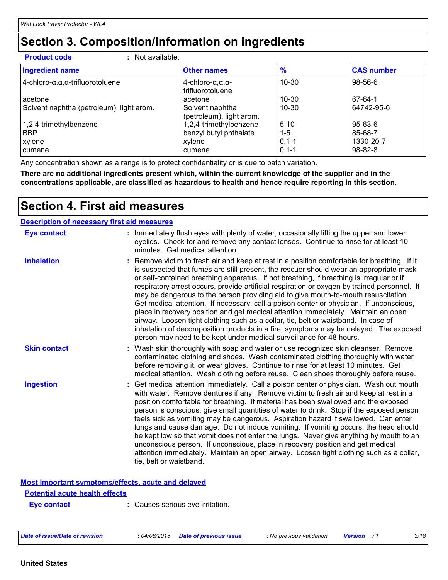### **Section 3. Composition/information on ingredients**

**Product code :** Not available.

| <b>Ingredient name</b>                                  | <b>Other names</b>                                       | $\frac{9}{6}$          | <b>CAS number</b>          |
|---------------------------------------------------------|----------------------------------------------------------|------------------------|----------------------------|
| $4$ -chloro- $\alpha, \alpha, \alpha$ -trifluorotoluene | 4-chloro- $\alpha, \alpha, \alpha$ -<br>trifluorotoluene | 10-30                  | $98 - 56 - 6$              |
| acetone                                                 | acetone                                                  | 10-30                  | $67-64-1$                  |
| Solvent naphtha (petroleum), light arom.                | Solvent naphtha<br>(petroleum), light arom.              | $10 - 30$              | 64742-95-6                 |
| 1,2,4-trimethylbenzene                                  | 1,2,4-trimethylbenzene                                   | $5 - 10$               | $95 - 63 - 6$              |
| <b>BBP</b>                                              | benzyl butyl phthalate                                   | $1 - 5$                | 85-68-7                    |
| xylene<br>cumene                                        | xylene<br>cumene                                         | $0.1 - 1$<br>$0.1 - 1$ | 1330-20-7<br>$98 - 82 - 8$ |

Any concentration shown as a range is to protect confidentiality or is due to batch variation.

**There are no additional ingredients present which, within the current knowledge of the supplier and in the concentrations applicable, are classified as hazardous to health and hence require reporting in this section.**

### **Section 4. First aid measures**

| <b>Description of necessary first aid measures</b> |                                                                                                                                                                                                                                                                                                                                                                                                                                                                                                                                                                                                                                                                                                                                                                                                                                                                                                                |
|----------------------------------------------------|----------------------------------------------------------------------------------------------------------------------------------------------------------------------------------------------------------------------------------------------------------------------------------------------------------------------------------------------------------------------------------------------------------------------------------------------------------------------------------------------------------------------------------------------------------------------------------------------------------------------------------------------------------------------------------------------------------------------------------------------------------------------------------------------------------------------------------------------------------------------------------------------------------------|
| <b>Eye contact</b>                                 | : Immediately flush eyes with plenty of water, occasionally lifting the upper and lower<br>eyelids. Check for and remove any contact lenses. Continue to rinse for at least 10<br>minutes. Get medical attention.                                                                                                                                                                                                                                                                                                                                                                                                                                                                                                                                                                                                                                                                                              |
| <b>Inhalation</b>                                  | : Remove victim to fresh air and keep at rest in a position comfortable for breathing. If it<br>is suspected that fumes are still present, the rescuer should wear an appropriate mask<br>or self-contained breathing apparatus. If not breathing, if breathing is irregular or if<br>respiratory arrest occurs, provide artificial respiration or oxygen by trained personnel. It<br>may be dangerous to the person providing aid to give mouth-to-mouth resuscitation.<br>Get medical attention. If necessary, call a poison center or physician. If unconscious,<br>place in recovery position and get medical attention immediately. Maintain an open<br>airway. Loosen tight clothing such as a collar, tie, belt or waistband. In case of<br>inhalation of decomposition products in a fire, symptoms may be delayed. The exposed<br>person may need to be kept under medical surveillance for 48 hours. |
| <b>Skin contact</b>                                | : Wash skin thoroughly with soap and water or use recognized skin cleanser. Remove<br>contaminated clothing and shoes. Wash contaminated clothing thoroughly with water<br>before removing it, or wear gloves. Continue to rinse for at least 10 minutes. Get<br>medical attention. Wash clothing before reuse. Clean shoes thoroughly before reuse.                                                                                                                                                                                                                                                                                                                                                                                                                                                                                                                                                           |
| <b>Ingestion</b>                                   | : Get medical attention immediately. Call a poison center or physician. Wash out mouth<br>with water. Remove dentures if any. Remove victim to fresh air and keep at rest in a<br>position comfortable for breathing. If material has been swallowed and the exposed<br>person is conscious, give small quantities of water to drink. Stop if the exposed person<br>feels sick as vomiting may be dangerous. Aspiration hazard if swallowed. Can enter<br>lungs and cause damage. Do not induce vomiting. If vomiting occurs, the head should<br>be kept low so that vomit does not enter the lungs. Never give anything by mouth to an<br>unconscious person. If unconscious, place in recovery position and get medical<br>attention immediately. Maintain an open airway. Loosen tight clothing such as a collar,<br>tie, belt or waistband.                                                                |

#### **Most important symptoms/effects, acute and delayed**

#### **Potential acute health effects**

**Eye contact :** Causes serious eye irritation.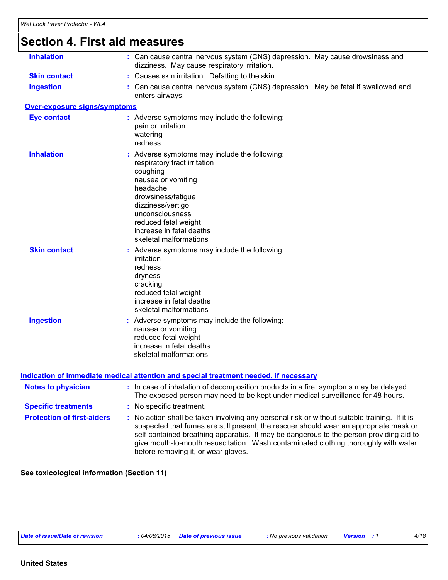| <b>Inhalation</b>            | : Can cause central nervous system (CNS) depression. May cause drowsiness and<br>dizziness. May cause respiratory irritation.                                                                                                                                           |
|------------------------------|-------------------------------------------------------------------------------------------------------------------------------------------------------------------------------------------------------------------------------------------------------------------------|
| <b>Skin contact</b>          | : Causes skin irritation. Defatting to the skin.                                                                                                                                                                                                                        |
| <b>Ingestion</b>             | : Can cause central nervous system (CNS) depression. May be fatal if swallowed and<br>enters airways.                                                                                                                                                                   |
| Over-exposure signs/symptoms |                                                                                                                                                                                                                                                                         |
| <b>Eye contact</b>           | : Adverse symptoms may include the following:<br>pain or irritation<br>watering<br>redness                                                                                                                                                                              |
| <b>Inhalation</b>            | : Adverse symptoms may include the following:<br>respiratory tract irritation<br>coughing<br>nausea or vomiting<br>headache<br>drowsiness/fatigue<br>dizziness/vertigo<br>unconsciousness<br>reduced fetal weight<br>increase in fetal deaths<br>skeletal malformations |
| <b>Skin contact</b>          | : Adverse symptoms may include the following:<br>irritation<br>redness<br>dryness<br>cracking<br>reduced fetal weight<br>increase in fetal deaths<br>skeletal malformations                                                                                             |
| <b>Ingestion</b>             | : Adverse symptoms may include the following:<br>nausea or vomiting<br>reduced fetal weight<br>increase in fetal deaths<br>skeletal malformations                                                                                                                       |

| <b>Notes to physician</b>         | : In case of inhalation of decomposition products in a fire, symptoms may be delayed.<br>The exposed person may need to be kept under medical surveillance for 48 hours.                                                                                                                                                                                                                                        |  |  |
|-----------------------------------|-----------------------------------------------------------------------------------------------------------------------------------------------------------------------------------------------------------------------------------------------------------------------------------------------------------------------------------------------------------------------------------------------------------------|--|--|
| <b>Specific treatments</b>        | : No specific treatment.                                                                                                                                                                                                                                                                                                                                                                                        |  |  |
| <b>Protection of first-aiders</b> | : No action shall be taken involving any personal risk or without suitable training. If it is<br>suspected that fumes are still present, the rescuer should wear an appropriate mask or<br>self-contained breathing apparatus. It may be dangerous to the person providing aid to<br>give mouth-to-mouth resuscitation. Wash contaminated clothing thoroughly with water<br>before removing it, or wear gloves. |  |  |

**See toxicological information (Section 11)**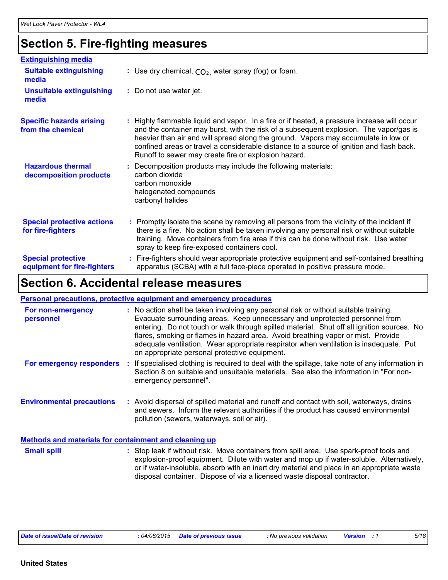# **Section 5. Fire-fighting measures**

| <b>Extinguishing media</b>                               |                                                                                                                                                                                                                                                                                                                                                                                                                                 |
|----------------------------------------------------------|---------------------------------------------------------------------------------------------------------------------------------------------------------------------------------------------------------------------------------------------------------------------------------------------------------------------------------------------------------------------------------------------------------------------------------|
| <b>Suitable extinguishing</b><br>media                   | : Use dry chemical, $CO2$ , water spray (fog) or foam.                                                                                                                                                                                                                                                                                                                                                                          |
| <b>Unsuitable extinguishing</b><br>media                 | : Do not use water jet.                                                                                                                                                                                                                                                                                                                                                                                                         |
| <b>Specific hazards arising</b><br>from the chemical     | : Highly flammable liquid and vapor. In a fire or if heated, a pressure increase will occur<br>and the container may burst, with the risk of a subsequent explosion. The vapor/gas is<br>heavier than air and will spread along the ground. Vapors may accumulate in low or<br>confined areas or travel a considerable distance to a source of ignition and flash back.<br>Runoff to sewer may create fire or explosion hazard. |
| <b>Hazardous thermal</b><br>decomposition products       | Decomposition products may include the following materials:<br>carbon dioxide<br>carbon monoxide<br>halogenated compounds<br>carbonyl halides                                                                                                                                                                                                                                                                                   |
| <b>Special protective actions</b><br>for fire-fighters   | : Promptly isolate the scene by removing all persons from the vicinity of the incident if<br>there is a fire. No action shall be taken involving any personal risk or without suitable<br>training. Move containers from fire area if this can be done without risk. Use water<br>spray to keep fire-exposed containers cool.                                                                                                   |
| <b>Special protective</b><br>equipment for fire-fighters | Fire-fighters should wear appropriate protective equipment and self-contained breathing<br>apparatus (SCBA) with a full face-piece operated in positive pressure mode.                                                                                                                                                                                                                                                          |

### **Section 6. Accidental release measures**

#### **Personal precautions, protective equipment and emergency procedures**

| For non-emergency<br>personnel                               | : No action shall be taken involving any personal risk or without suitable training.<br>Evacuate surrounding areas. Keep unnecessary and unprotected personnel from<br>entering. Do not touch or walk through spilled material. Shut off all ignition sources. No<br>flares, smoking or flames in hazard area. Avoid breathing vapor or mist. Provide<br>adequate ventilation. Wear appropriate respirator when ventilation is inadequate. Put<br>on appropriate personal protective equipment. |
|--------------------------------------------------------------|-------------------------------------------------------------------------------------------------------------------------------------------------------------------------------------------------------------------------------------------------------------------------------------------------------------------------------------------------------------------------------------------------------------------------------------------------------------------------------------------------|
| For emergency responders                                     | : If specialised clothing is required to deal with the spillage, take note of any information in<br>Section 8 on suitable and unsuitable materials. See also the information in "For non-<br>emergency personnel".                                                                                                                                                                                                                                                                              |
| <b>Environmental precautions</b>                             | : Avoid dispersal of spilled material and runoff and contact with soil, waterways, drains<br>and sewers. Inform the relevant authorities if the product has caused environmental<br>pollution (sewers, waterways, soil or air).                                                                                                                                                                                                                                                                 |
| <b>Methods and materials for containment and cleaning up</b> |                                                                                                                                                                                                                                                                                                                                                                                                                                                                                                 |
| <b>Small spill</b>                                           | : Stop leak if without risk. Move containers from spill area. Use spark-proof tools and<br>explosion-proof equipment. Dilute with water and mop up if water-soluble. Alternatively,                                                                                                                                                                                                                                                                                                             |

or if water-insoluble, absorb with an inert dry material and place in an appropriate waste

disposal container. Dispose of via a licensed waste disposal contractor.

*Date of issue/Date of revision* **:** *04/08/2015 Date of previous issue : No previous validation Version : 1 5/18*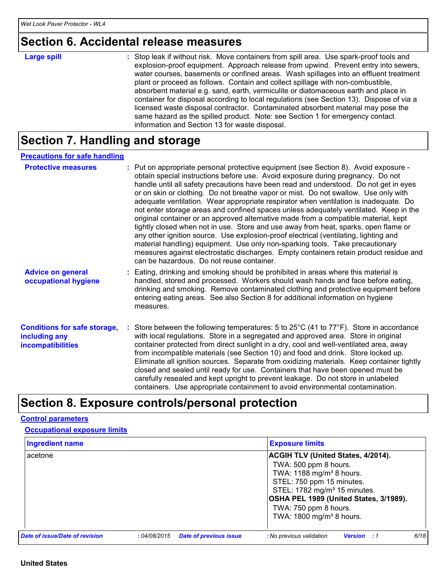### **Section 6. Accidental release measures**

| <b>Large spill</b> | : Stop leak if without risk. Move containers from spill area. Use spark-proof tools and<br>explosion-proof equipment. Approach release from upwind. Prevent entry into sewers,<br>water courses, basements or confined areas. Wash spillages into an effluent treatment<br>plant or proceed as follows. Contain and collect spillage with non-combustible,<br>absorbent material e.g. sand, earth, vermiculite or diatomaceous earth and place in<br>container for disposal according to local regulations (see Section 13). Dispose of via a<br>licensed waste disposal contractor. Contaminated absorbent material may pose the<br>same hazard as the spilled product. Note: see Section 1 for emergency contact |
|--------------------|--------------------------------------------------------------------------------------------------------------------------------------------------------------------------------------------------------------------------------------------------------------------------------------------------------------------------------------------------------------------------------------------------------------------------------------------------------------------------------------------------------------------------------------------------------------------------------------------------------------------------------------------------------------------------------------------------------------------|
|                    | information and Section 13 for waste disposal.                                                                                                                                                                                                                                                                                                                                                                                                                                                                                                                                                                                                                                                                     |

# **Section 7. Handling and storage**

| <b>Precautions for safe handling</b>                                             |                                                                                                                                                                                                                                                                                                                                                                                                                                                                                                                                                                                                                                                                                                                                                                                                                                                                                                                                                                                                                                        |
|----------------------------------------------------------------------------------|----------------------------------------------------------------------------------------------------------------------------------------------------------------------------------------------------------------------------------------------------------------------------------------------------------------------------------------------------------------------------------------------------------------------------------------------------------------------------------------------------------------------------------------------------------------------------------------------------------------------------------------------------------------------------------------------------------------------------------------------------------------------------------------------------------------------------------------------------------------------------------------------------------------------------------------------------------------------------------------------------------------------------------------|
| <b>Protective measures</b>                                                       | : Put on appropriate personal protective equipment (see Section 8). Avoid exposure -<br>obtain special instructions before use. Avoid exposure during pregnancy. Do not<br>handle until all safety precautions have been read and understood. Do not get in eyes<br>or on skin or clothing. Do not breathe vapor or mist. Do not swallow. Use only with<br>adequate ventilation. Wear appropriate respirator when ventilation is inadequate. Do<br>not enter storage areas and confined spaces unless adequately ventilated. Keep in the<br>original container or an approved alternative made from a compatible material, kept<br>tightly closed when not in use. Store and use away from heat, sparks, open flame or<br>any other ignition source. Use explosion-proof electrical (ventilating, lighting and<br>material handling) equipment. Use only non-sparking tools. Take precautionary<br>measures against electrostatic discharges. Empty containers retain product residue and<br>can be hazardous. Do not reuse container. |
| <b>Advice on general</b><br>occupational hygiene                                 | : Eating, drinking and smoking should be prohibited in areas where this material is<br>handled, stored and processed. Workers should wash hands and face before eating,<br>drinking and smoking. Remove contaminated clothing and protective equipment before<br>entering eating areas. See also Section 8 for additional information on hygiene<br>measures.                                                                                                                                                                                                                                                                                                                                                                                                                                                                                                                                                                                                                                                                          |
| <b>Conditions for safe storage,</b><br>including any<br><b>incompatibilities</b> | : Store between the following temperatures: 5 to 25°C (41 to 77°F). Store in accordance<br>with local regulations. Store in a segregated and approved area. Store in original<br>container protected from direct sunlight in a dry, cool and well-ventilated area, away<br>from incompatible materials (see Section 10) and food and drink. Store locked up.<br>Eliminate all ignition sources. Separate from oxidizing materials. Keep container tightly<br>closed and sealed until ready for use. Containers that have been opened must be<br>carefully resealed and kept upright to prevent leakage. Do not store in unlabeled<br>containers. Use appropriate containment to avoid environmental contamination.                                                                                                                                                                                                                                                                                                                     |

# **Section 8. Exposure controls/personal protection**

#### **Control parameters**

| <b>Occupational exposure limits</b> |  |
|-------------------------------------|--|
|                                     |  |

| <b>Ingredient name</b>         |             |                               | <b>Exposure limits</b>                                                                                                                                                                                                                                 |      |
|--------------------------------|-------------|-------------------------------|--------------------------------------------------------------------------------------------------------------------------------------------------------------------------------------------------------------------------------------------------------|------|
| acetone                        |             |                               | <b>ACGIH TLV (United States, 4/2014).</b><br>TWA: 500 ppm 8 hours.<br>TWA: 1188 mg/m <sup>3</sup> 8 hours.<br>STEL: 750 ppm 15 minutes.<br>STEL: 1782 mg/m <sup>3</sup> 15 minutes.<br>OSHA PEL 1989 (United States, 3/1989).<br>TWA: 750 ppm 8 hours. |      |
| Date of issue/Date of revision | :04/08/2015 | <b>Date of previous issue</b> | TWA: 1800 mg/m <sup>3</sup> 8 hours.<br>: No previous validation<br><b>Version</b> : 1                                                                                                                                                                 | 6/18 |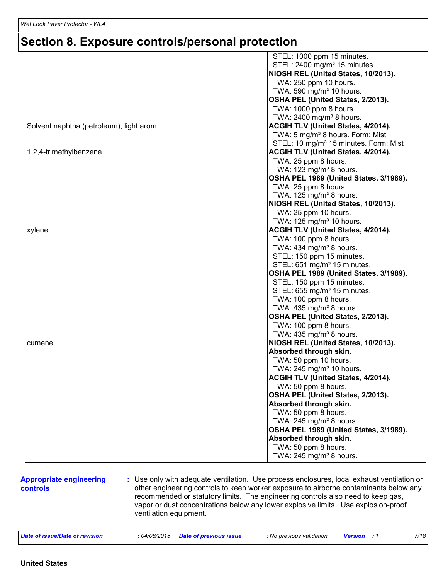### **Section 8. Exposure controls/personal protection**

|                                          | STEL: 1000 ppm 15 minutes.                        |
|------------------------------------------|---------------------------------------------------|
|                                          | STEL: 2400 mg/m <sup>3</sup> 15 minutes.          |
|                                          | NIOSH REL (United States, 10/2013).               |
|                                          | TWA: 250 ppm 10 hours.                            |
|                                          | TWA: 590 mg/m <sup>3</sup> 10 hours.              |
|                                          | OSHA PEL (United States, 2/2013).                 |
|                                          | TWA: 1000 ppm 8 hours.                            |
|                                          | TWA: 2400 mg/m <sup>3</sup> 8 hours.              |
| Solvent naphtha (petroleum), light arom. | <b>ACGIH TLV (United States, 4/2014).</b>         |
|                                          | TWA: 5 mg/m <sup>3</sup> 8 hours. Form: Mist      |
|                                          | STEL: 10 mg/m <sup>3</sup> 15 minutes. Form: Mist |
| 1,2,4-trimethylbenzene                   | <b>ACGIH TLV (United States, 4/2014).</b>         |
|                                          | TWA: 25 ppm 8 hours.                              |
|                                          | TWA: 123 mg/m <sup>3</sup> 8 hours.               |
|                                          | OSHA PEL 1989 (United States, 3/1989).            |
|                                          | TWA: 25 ppm 8 hours.                              |
|                                          | TWA: 125 mg/m <sup>3</sup> 8 hours.               |
|                                          | NIOSH REL (United States, 10/2013).               |
|                                          | TWA: 25 ppm 10 hours.                             |
|                                          | TWA: 125 mg/m <sup>3</sup> 10 hours.              |
| xylene                                   | ACGIH TLV (United States, 4/2014).                |
|                                          | TWA: 100 ppm 8 hours.                             |
|                                          | TWA: 434 mg/m <sup>3</sup> 8 hours.               |
|                                          | STEL: 150 ppm 15 minutes.                         |
|                                          | STEL: 651 mg/m <sup>3</sup> 15 minutes.           |
|                                          | OSHA PEL 1989 (United States, 3/1989).            |
|                                          | STEL: 150 ppm 15 minutes.                         |
|                                          | STEL: 655 mg/m <sup>3</sup> 15 minutes.           |
|                                          | TWA: 100 ppm 8 hours.                             |
|                                          | TWA: $435 \text{ mg/m}^3$ 8 hours.                |
|                                          | OSHA PEL (United States, 2/2013).                 |
|                                          | TWA: 100 ppm 8 hours.                             |
|                                          | TWA: $435 \text{ mg/m}^3$ 8 hours.                |
| cumene                                   | NIOSH REL (United States, 10/2013).               |
|                                          | Absorbed through skin.                            |
|                                          | TWA: 50 ppm 10 hours.                             |
|                                          | TWA: 245 mg/m <sup>3</sup> 10 hours.              |
|                                          | <b>ACGIH TLV (United States, 4/2014).</b>         |
|                                          | TWA: 50 ppm 8 hours.                              |
|                                          | OSHA PEL (United States, 2/2013).                 |
|                                          | Absorbed through skin.                            |
|                                          | TWA: 50 ppm 8 hours.                              |
|                                          | TWA: 245 mg/m <sup>3</sup> 8 hours.               |
|                                          | OSHA PEL 1989 (United States, 3/1989).            |
|                                          | Absorbed through skin.                            |
|                                          | TWA: 50 ppm 8 hours.                              |
|                                          |                                                   |
|                                          | TWA: 245 mg/m <sup>3</sup> 8 hours.               |
|                                          |                                                   |

#### **Appropriate engineering controls**

**:** Use only with adequate ventilation. Use process enclosures, local exhaust ventilation or other engineering controls to keep worker exposure to airborne contaminants below any recommended or statutory limits. The engineering controls also need to keep gas, vapor or dust concentrations below any lower explosive limits. Use explosion-proof ventilation equipment.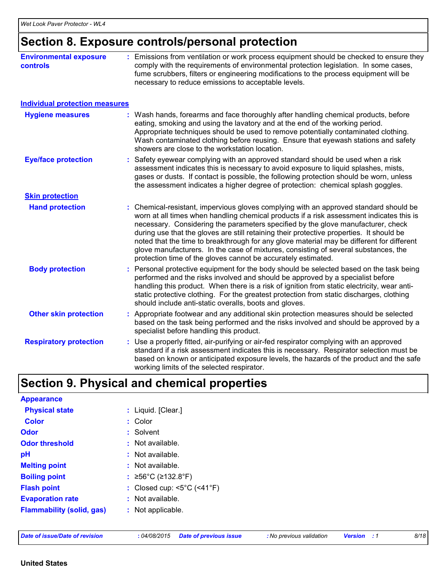# **Section 8. Exposure controls/personal protection**

| <b>Environmental exposure</b><br><b>controls</b> | : Emissions from ventilation or work process equipment should be checked to ensure they<br>comply with the requirements of environmental protection legislation. In some cases,<br>fume scrubbers, filters or engineering modifications to the process equipment will be<br>necessary to reduce emissions to acceptable levels.                                                                                                                                                                                                                                                                                        |
|--------------------------------------------------|------------------------------------------------------------------------------------------------------------------------------------------------------------------------------------------------------------------------------------------------------------------------------------------------------------------------------------------------------------------------------------------------------------------------------------------------------------------------------------------------------------------------------------------------------------------------------------------------------------------------|
| <b>Individual protection measures</b>            |                                                                                                                                                                                                                                                                                                                                                                                                                                                                                                                                                                                                                        |
| <b>Hygiene measures</b>                          | : Wash hands, forearms and face thoroughly after handling chemical products, before<br>eating, smoking and using the lavatory and at the end of the working period.<br>Appropriate techniques should be used to remove potentially contaminated clothing.<br>Wash contaminated clothing before reusing. Ensure that eyewash stations and safety<br>showers are close to the workstation location.                                                                                                                                                                                                                      |
| <b>Eye/face protection</b>                       | : Safety eyewear complying with an approved standard should be used when a risk<br>assessment indicates this is necessary to avoid exposure to liquid splashes, mists,<br>gases or dusts. If contact is possible, the following protection should be worn, unless<br>the assessment indicates a higher degree of protection: chemical splash goggles.                                                                                                                                                                                                                                                                  |
| <b>Skin protection</b>                           |                                                                                                                                                                                                                                                                                                                                                                                                                                                                                                                                                                                                                        |
| <b>Hand protection</b>                           | : Chemical-resistant, impervious gloves complying with an approved standard should be<br>worn at all times when handling chemical products if a risk assessment indicates this is<br>necessary. Considering the parameters specified by the glove manufacturer, check<br>during use that the gloves are still retaining their protective properties. It should be<br>noted that the time to breakthrough for any glove material may be different for different<br>glove manufacturers. In the case of mixtures, consisting of several substances, the<br>protection time of the gloves cannot be accurately estimated. |
| <b>Body protection</b>                           | : Personal protective equipment for the body should be selected based on the task being<br>performed and the risks involved and should be approved by a specialist before<br>handling this product. When there is a risk of ignition from static electricity, wear anti-<br>static protective clothing. For the greatest protection from static discharges, clothing<br>should include anti-static overalls, boots and gloves.                                                                                                                                                                                         |
| <b>Other skin protection</b>                     | : Appropriate footwear and any additional skin protection measures should be selected<br>based on the task being performed and the risks involved and should be approved by a<br>specialist before handling this product.                                                                                                                                                                                                                                                                                                                                                                                              |
| <b>Respiratory protection</b>                    | : Use a properly fitted, air-purifying or air-fed respirator complying with an approved<br>standard if a risk assessment indicates this is necessary. Respirator selection must be<br>based on known or anticipated exposure levels, the hazards of the product and the safe<br>working limits of the selected respirator.                                                                                                                                                                                                                                                                                             |

# **Section 9. Physical and chemical properties**

| <b>Appearance</b>                |                                                         |
|----------------------------------|---------------------------------------------------------|
| <b>Physical state</b>            | : Liquid. [Clear.]                                      |
| <b>Color</b>                     | : Color                                                 |
| <b>Odor</b>                      | : Solvent                                               |
| <b>Odor threshold</b>            | : Not available.                                        |
| pH                               | : Not available.                                        |
| <b>Melting point</b>             | : Not available.                                        |
| <b>Boiling point</b>             | : ≥56°C (≥132.8°F)                                      |
| <b>Flash point</b>               | : Closed cup: $\leq 5^{\circ}$ C ( $\leq 41^{\circ}$ F) |
| <b>Evaporation rate</b>          | : Not available.                                        |
| <b>Flammability (solid, gas)</b> | : Not applicable.                                       |
|                                  |                                                         |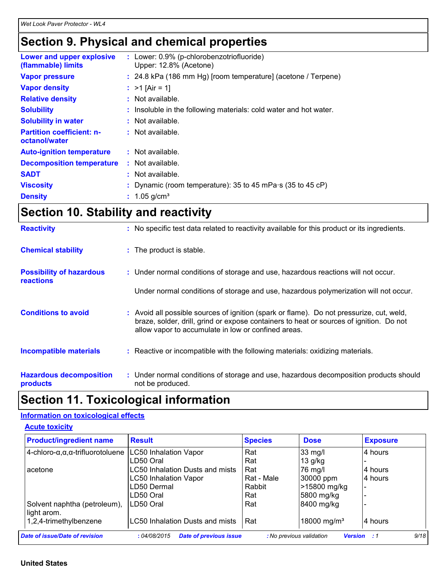### **Section 9. Physical and chemical properties**

| Lower and upper explosive<br>(flammable) limits   | : Lower: 0.9% (p-chlorobenzotriofluoride)<br>Upper: 12.8% (Acetone) |
|---------------------------------------------------|---------------------------------------------------------------------|
| <b>Vapor pressure</b>                             | $: 24.8$ kPa (186 mm Hg) [room temperature] (acetone / Terpene)     |
| <b>Vapor density</b>                              | : $>1$ [Air = 1]                                                    |
| <b>Relative density</b>                           | $:$ Not available.                                                  |
| <b>Solubility</b>                                 | : Insoluble in the following materials: cold water and hot water.   |
| <b>Solubility in water</b>                        | : Not available.                                                    |
| <b>Partition coefficient: n-</b><br>octanol/water | $:$ Not available.                                                  |
| <b>Auto-ignition temperature</b>                  | $:$ Not available.                                                  |
| <b>Decomposition temperature</b>                  | $:$ Not available.                                                  |
| <b>SADT</b>                                       | $:$ Not available.                                                  |
| <b>Viscosity</b>                                  | : Dynamic (room temperature): 35 to 45 mPa $\cdot$ s (35 to 45 cP)  |
| <b>Density</b>                                    | 1.05 g/cm <sup>3</sup>                                              |

# **Section 10. Stability and reactivity**

| <b>Reactivity</b>                                   | : No specific test data related to reactivity available for this product or its ingredients.                                                                                                                                               |
|-----------------------------------------------------|--------------------------------------------------------------------------------------------------------------------------------------------------------------------------------------------------------------------------------------------|
| <b>Chemical stability</b>                           | : The product is stable.                                                                                                                                                                                                                   |
| <b>Possibility of hazardous</b><br><b>reactions</b> | : Under normal conditions of storage and use, hazardous reactions will not occur.                                                                                                                                                          |
|                                                     | Under normal conditions of storage and use, hazardous polymerization will not occur.                                                                                                                                                       |
| <b>Conditions to avoid</b>                          | : Avoid all possible sources of ignition (spark or flame). Do not pressurize, cut, weld,<br>braze, solder, drill, grind or expose containers to heat or sources of ignition. Do not<br>allow vapor to accumulate in low or confined areas. |
| <b>Incompatible materials</b>                       | : Reactive or incompatible with the following materials: oxidizing materials.                                                                                                                                                              |
| <b>Hazardous decomposition</b><br>products          | : Under normal conditions of storage and use, hazardous decomposition products should<br>not be produced.                                                                                                                                  |

# **Section 11. Toxicological information**

#### **Information on toxicological effects**

| <b>Product/ingredient name</b>                       | <b>Result</b>                   | <b>Species</b> | <b>Dose</b>             | <b>Exposure</b> |
|------------------------------------------------------|---------------------------------|----------------|-------------------------|-----------------|
| 4-chloro- $\alpha, \alpha, \alpha$ -trifluorotoluene | <b>LC50 Inhalation Vapor</b>    | Rat            | $33$ mg/l               | 4 hours         |
|                                                      | LD50 Oral                       | Rat            | $13$ g/kg               |                 |
| acetone                                              | LC50 Inhalation Dusts and mists | Rat            | 76 mg/l                 | 4 hours         |
|                                                      | <b>LC50 Inhalation Vapor</b>    | Rat - Male     | 30000 ppm               | 4 hours         |
|                                                      | LD50 Dermal                     | Rabbit         | >15800 mg/kg            |                 |
|                                                      | LD50 Oral                       | Rat            | 5800 mg/kg              |                 |
| Solvent naphtha (petroleum),<br>light arom.          | LD50 Oral                       | Rat            | 8400 mg/kg              |                 |
| 1,2,4-trimethylbenzene                               | LC50 Inhalation Dusts and mists | Rat            | 18000 mg/m <sup>3</sup> | 4 hours         |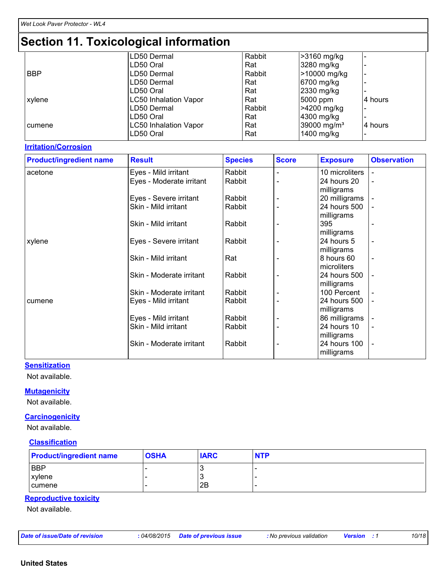|            | LD50 Dermal                  | Rabbit | >3160 mg/kg             |          |
|------------|------------------------------|--------|-------------------------|----------|
|            | LD50 Oral                    | Rat    | 3280 mg/kg              |          |
| <b>BBP</b> | LD50 Dermal                  | Rabbit | 1>10000 mg/kg           |          |
|            | LD50 Dermal                  | Rat    | 6700 mg/kg              |          |
|            | LD50 Oral                    | Rat    | 2330 mg/kg              |          |
| xylene     | <b>LC50 Inhalation Vapor</b> | Rat    | 5000 ppm                | l4 hours |
|            | LD50 Dermal                  | Rabbit | >4200 mg/kg             |          |
|            | LD50 Oral                    | Rat    | 4300 mg/kg              |          |
| cumene     | <b>LC50 Inhalation Vapor</b> | Rat    | 39000 mg/m <sup>3</sup> | 14 hours |
|            | LD50 Oral                    | Rat    | 1400 mg/kg              |          |
|            |                              |        |                         |          |

#### **Irritation/Corrosion**

| <b>Product/ingredient name</b> | <b>Result</b>            | <b>Species</b> | <b>Score</b> | <b>Exposure</b> | <b>Observation</b>       |
|--------------------------------|--------------------------|----------------|--------------|-----------------|--------------------------|
| acetone                        | Eyes - Mild irritant     | Rabbit         |              | 10 microliters  |                          |
|                                | Eyes - Moderate irritant | Rabbit         |              | 24 hours 20     | $\overline{\phantom{a}}$ |
|                                |                          |                |              | milligrams      |                          |
|                                | Eyes - Severe irritant   | Rabbit         |              | 20 milligrams   |                          |
|                                | Skin - Mild irritant     | Rabbit         |              | 24 hours 500    |                          |
|                                |                          |                |              | milligrams      |                          |
|                                | Skin - Mild irritant     | Rabbit         |              | 395             |                          |
|                                |                          |                |              | milligrams      |                          |
| xylene                         | Eyes - Severe irritant   | Rabbit         |              | 24 hours 5      | $\blacksquare$           |
|                                |                          |                |              | milligrams      |                          |
|                                | Skin - Mild irritant     | Rat            |              | 8 hours 60      | $\blacksquare$           |
|                                |                          |                |              | microliters     |                          |
|                                | Skin - Moderate irritant | Rabbit         |              | 24 hours 500    |                          |
|                                |                          |                |              | milligrams      |                          |
|                                | Skin - Moderate irritant | Rabbit         |              | 100 Percent     |                          |
| cumene                         | Eyes - Mild irritant     | Rabbit         |              | 24 hours 500    |                          |
|                                |                          |                |              | milligrams      |                          |
|                                | Eyes - Mild irritant     | Rabbit         |              | 86 milligrams   |                          |
|                                | Skin - Mild irritant     | Rabbit         |              | 24 hours 10     | $\qquad \qquad$          |
|                                |                          |                |              | milligrams      |                          |
|                                | Skin - Moderate irritant | Rabbit         |              | 24 hours 100    |                          |
|                                |                          |                |              | milligrams      |                          |

#### **Sensitization**

Not available.

#### **Mutagenicity**

Not available.

#### **Carcinogenicity**

Not available.

#### **Classification**

| <b>Product/ingredient name</b> | <b>OSHA</b> | <b>IARC</b> | <b>NTP</b> |
|--------------------------------|-------------|-------------|------------|
| <b>BBP</b>                     |             | ت           | $-$        |
| <b>xylene</b>                  |             | د -         |            |
| I cumene                       |             | 2B          |            |

#### **Reproductive toxicity**

Not available.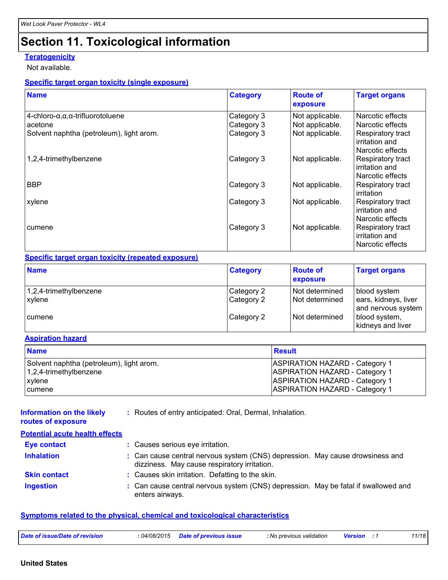#### **Teratogenicity**

Not available.

#### **Specific target organ toxicity (single exposure)**

| <b>Name</b>                                             | <b>Category</b> | <b>Route of</b><br>exposure | <b>Target organs</b>                                    |
|---------------------------------------------------------|-----------------|-----------------------------|---------------------------------------------------------|
| $4$ -chloro- $\alpha, \alpha, \alpha$ -trifluorotoluene | Category 3      | Not applicable.             | Narcotic effects                                        |
| acetone                                                 | Category 3      | Not applicable.             | Narcotic effects                                        |
| Solvent naphtha (petroleum), light arom.                | Category 3      | Not applicable.             | Respiratory tract<br>irritation and<br>Narcotic effects |
| 1,2,4-trimethylbenzene                                  | Category 3      | Not applicable.             | Respiratory tract<br>irritation and<br>Narcotic effects |
| <b>BBP</b>                                              | Category 3      | Not applicable.             | Respiratory tract<br>irritation                         |
| xylene                                                  | Category 3      | Not applicable.             | Respiratory tract<br>irritation and<br>Narcotic effects |
| cumene                                                  | Category 3      | Not applicable.             | Respiratory tract<br>irritation and<br>Narcotic effects |

#### **Specific target organ toxicity (repeated exposure)**

| <b>Name</b>                      | <b>Category</b>          | <b>Route of</b><br><b>exposure</b> | <b>Target organs</b>                                       |
|----------------------------------|--------------------------|------------------------------------|------------------------------------------------------------|
| 1,2,4-trimethylbenzene<br>xylene | Category 2<br>Category 2 | Not determined<br>Not determined   | blood system<br>ears, kidneys, liver<br>and nervous system |
| I cumene                         | Category 2               | Not determined                     | blood system,<br>kidneys and liver                         |

#### **Aspiration hazard**

| <b>Name</b>                              | Result                                |
|------------------------------------------|---------------------------------------|
| Solvent naphtha (petroleum), light arom. | <b>ASPIRATION HAZARD - Category 1</b> |
| 1,2,4-trimethylbenzene                   | <b>ASPIRATION HAZARD - Category 1</b> |
| xylene                                   | <b>ASPIRATION HAZARD - Category 1</b> |
| I cumene                                 | <b>ASPIRATION HAZARD - Category 1</b> |

#### **Information on the likely routes of exposure**

**:** Routes of entry anticipated: Oral, Dermal, Inhalation.

| <b>Potential acute health effects</b> |                                                                                                                               |
|---------------------------------------|-------------------------------------------------------------------------------------------------------------------------------|
| <b>Eye contact</b>                    | : Causes serious eye irritation.                                                                                              |
| <b>Inhalation</b>                     | : Can cause central nervous system (CNS) depression. May cause drowsiness and<br>dizziness. May cause respiratory irritation. |
| <b>Skin contact</b>                   | : Causes skin irritation. Defatting to the skin.                                                                              |
| <b>Ingestion</b>                      | : Can cause central nervous system (CNS) depression. May be fatal if swallowed and<br>enters airways.                         |

#### **Symptoms related to the physical, chemical and toxicological characteristics**

| Date of issue/Date of revision<br><i>04/08/2015</i> | <b>Date of previous issue</b> | : No previous validation | <b>Version</b> | 1/18 |
|-----------------------------------------------------|-------------------------------|--------------------------|----------------|------|
|-----------------------------------------------------|-------------------------------|--------------------------|----------------|------|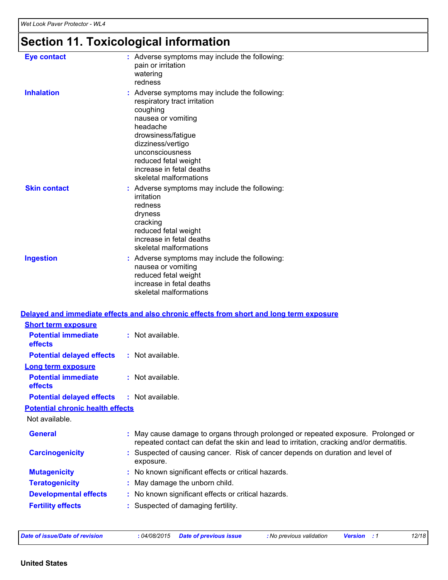| <b>Eye contact</b>                                                 | : Adverse symptoms may include the following:<br>pain or irritation<br>watering<br>redness                                                                                                                                                                              |
|--------------------------------------------------------------------|-------------------------------------------------------------------------------------------------------------------------------------------------------------------------------------------------------------------------------------------------------------------------|
| <b>Inhalation</b>                                                  | : Adverse symptoms may include the following:<br>respiratory tract irritation<br>coughing<br>nausea or vomiting<br>headache<br>drowsiness/fatigue<br>dizziness/vertigo<br>unconsciousness<br>reduced fetal weight<br>increase in fetal deaths<br>skeletal malformations |
| <b>Skin contact</b>                                                | : Adverse symptoms may include the following:<br>irritation<br>redness<br>dryness<br>cracking<br>reduced fetal weight<br>increase in fetal deaths<br>skeletal malformations                                                                                             |
| <b>Ingestion</b>                                                   | : Adverse symptoms may include the following:<br>nausea or vomiting<br>reduced fetal weight<br>increase in fetal deaths<br>skeletal malformations                                                                                                                       |
| <b>Short term exposure</b>                                         | Delayed and immediate effects and also chronic effects from short and long term exposure                                                                                                                                                                                |
| <b>Potential immediate</b><br>effects                              | : Not available.                                                                                                                                                                                                                                                        |
| <b>Potential delayed effects</b>                                   | : Not available.                                                                                                                                                                                                                                                        |
| <b>Long term exposure</b><br><b>Potential immediate</b><br>effects | : Not available.                                                                                                                                                                                                                                                        |
| <b>Potential delayed effects</b>                                   | : Not available.                                                                                                                                                                                                                                                        |
| <b>Potential chronic health effects</b><br>Not available.          |                                                                                                                                                                                                                                                                         |
| <b>General</b>                                                     | May cause damage to organs through prolonged or repeated exposure. Prolonged or<br>repeated contact can defat the skin and lead to irritation, cracking and/or dermatitis.                                                                                              |
| <b>Carcinogenicity</b>                                             | : Suspected of causing cancer. Risk of cancer depends on duration and level of<br>exposure.                                                                                                                                                                             |
| <b>Mutagenicity</b>                                                | : No known significant effects or critical hazards.                                                                                                                                                                                                                     |
| <b>Teratogenicity</b>                                              | May damage the unborn child.                                                                                                                                                                                                                                            |
| <b>Developmental effects</b>                                       | : No known significant effects or critical hazards.                                                                                                                                                                                                                     |
| <b>Fertility effects</b>                                           | : Suspected of damaging fertility.                                                                                                                                                                                                                                      |

| Date of issue/Date of revision |  |  |  |  |
|--------------------------------|--|--|--|--|
|                                |  |  |  |  |

*Date of issue/Date of revision* **:** *04/08/2015 Date of previous issue : No previous validation Version : 1 12/18*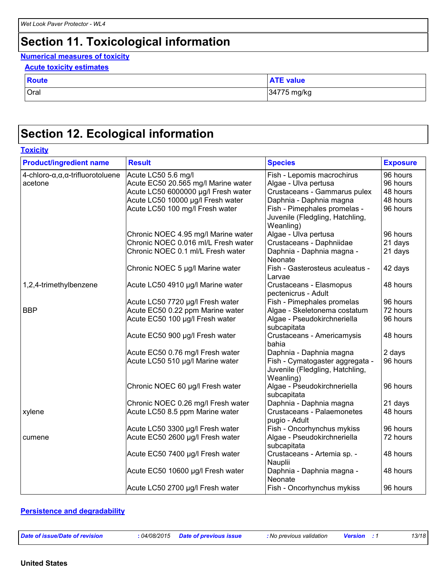#### **Numerical measures of toxicity**

| <b>Route</b> | <b>ATE value</b> |
|--------------|------------------|
| <b>Oral</b>  | 34775 mg/kg      |

# **Section 12. Ecological information**

| <b>Product/ingredient name</b>                          | <b>Result</b>                       | <b>Species</b>                                                                  | <b>Exposure</b> |
|---------------------------------------------------------|-------------------------------------|---------------------------------------------------------------------------------|-----------------|
|                                                         |                                     |                                                                                 |                 |
| $4$ -chloro- $\alpha, \alpha, \alpha$ -trifluorotoluene | Acute LC50 5.6 mg/l                 | Fish - Lepomis macrochirus                                                      | 96 hours        |
| acetone                                                 | Acute EC50 20.565 mg/l Marine water | Algae - Ulva pertusa                                                            | 96 hours        |
|                                                         | Acute LC50 6000000 µg/l Fresh water | Crustaceans - Gammarus pulex                                                    | 48 hours        |
|                                                         | Acute LC50 10000 µg/l Fresh water   | Daphnia - Daphnia magna                                                         | 48 hours        |
|                                                         | Acute LC50 100 mg/l Fresh water     | Fish - Pimephales promelas -<br>Juvenile (Fledgling, Hatchling,<br>Weanling)    | 96 hours        |
|                                                         | Chronic NOEC 4.95 mg/l Marine water | Algae - Ulva pertusa                                                            | 96 hours        |
|                                                         | Chronic NOEC 0.016 ml/L Fresh water | Crustaceans - Daphniidae                                                        | 21 days         |
|                                                         | Chronic NOEC 0.1 ml/L Fresh water   | Daphnia - Daphnia magna -<br>Neonate                                            | 21 days         |
|                                                         | Chronic NOEC 5 µg/l Marine water    | Fish - Gasterosteus aculeatus -<br>Larvae                                       | 42 days         |
| 1,2,4-trimethylbenzene                                  | Acute LC50 4910 µg/l Marine water   | Crustaceans - Elasmopus<br>pectenicrus - Adult                                  | 48 hours        |
|                                                         | Acute LC50 7720 µg/l Fresh water    | Fish - Pimephales promelas                                                      | 96 hours        |
| <b>BBP</b>                                              | Acute EC50 0.22 ppm Marine water    | Algae - Skeletonema costatum                                                    | 72 hours        |
|                                                         | Acute EC50 100 µg/l Fresh water     | Algae - Pseudokirchneriella<br>subcapitata                                      | 96 hours        |
|                                                         | Acute EC50 900 µg/l Fresh water     | Crustaceans - Americamysis<br>bahia                                             | 48 hours        |
|                                                         | Acute EC50 0.76 mg/l Fresh water    | Daphnia - Daphnia magna                                                         | 2 days          |
|                                                         | Acute LC50 510 µg/l Marine water    | Fish - Cymatogaster aggregata -<br>Juvenile (Fledgling, Hatchling,<br>Weanling) | 96 hours        |
|                                                         | Chronic NOEC 60 µg/l Fresh water    | Algae - Pseudokirchneriella<br>subcapitata                                      | 96 hours        |
|                                                         | Chronic NOEC 0.26 mg/l Fresh water  | Daphnia - Daphnia magna                                                         | 21 days         |
| xylene                                                  | Acute LC50 8.5 ppm Marine water     | Crustaceans - Palaemonetes<br>pugio - Adult                                     | 48 hours        |
|                                                         | Acute LC50 3300 µg/l Fresh water    | Fish - Oncorhynchus mykiss                                                      | 96 hours        |
| cumene                                                  | Acute EC50 2600 µg/l Fresh water    | Algae - Pseudokirchneriella<br>subcapitata                                      | 72 hours        |
|                                                         | Acute EC50 7400 µg/l Fresh water    | Crustaceans - Artemia sp. -<br>Nauplii                                          | 48 hours        |
|                                                         | Acute EC50 10600 µg/l Fresh water   | Daphnia - Daphnia magna -<br>Neonate                                            | 48 hours        |
|                                                         | Acute LC50 2700 µg/l Fresh water    | Fish - Oncorhynchus mykiss                                                      | 96 hours        |

#### **Persistence and degradability**

*Date of issue/Date of revision* **:** *04/08/2015 Date of previous issue : No previous validation Version : 1 13/18*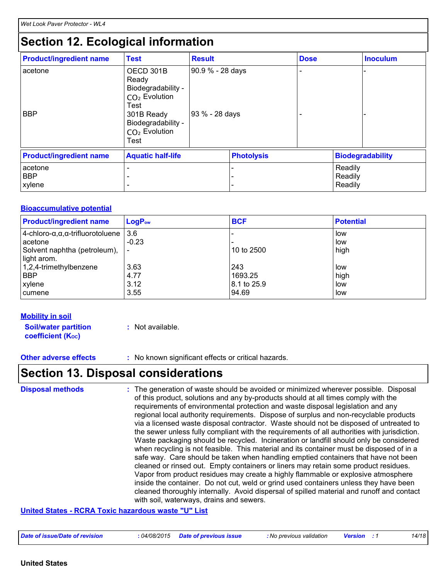| <b>Product/ingredient name</b>  | <b>Test</b>                                                                                                                                                   | <b>Result</b>                      |                   | <b>Dose</b> |                               | <b>Inoculum</b>         |
|---------------------------------|---------------------------------------------------------------------------------------------------------------------------------------------------------------|------------------------------------|-------------------|-------------|-------------------------------|-------------------------|
| acetone<br><b>BBP</b>           | OECD 301B<br>Ready<br>Biodegradability -<br>CO <sub>2</sub> Evolution<br>Test<br>301B Ready<br>Biodegradability -<br>CO <sub>2</sub> Evolution<br><b>Test</b> | 90.9 % - 28 days<br>93 % - 28 days |                   |             |                               |                         |
| <b>Product/ingredient name</b>  | <b>Aquatic half-life</b>                                                                                                                                      |                                    | <b>Photolysis</b> |             |                               | <b>Biodegradability</b> |
| acetone<br><b>BBP</b><br>xylene |                                                                                                                                                               |                                    | ۰                 |             | Readily<br>Readily<br>Readily |                         |

#### **Bioaccumulative potential**

| <b>Product/ingredient name</b>                           | $LogP_{ow}$ | <b>BCF</b>  | <b>Potential</b> |
|----------------------------------------------------------|-------------|-------------|------------------|
| $ 4$ -chloro- $\alpha, \alpha, \alpha$ -trifluorotoluene | l 3.6       |             | low              |
| lacetone                                                 | $-0.23$     |             | low              |
| Solvent naphtha (petroleum),                             |             | 10 to 2500  | high             |
| light arom.                                              |             |             |                  |
| $1,2,4$ -trimethylbenzene                                | 3.63        | 243         | low              |
| <b>BBP</b>                                               | 4.77        | 1693.25     | high             |
| <b>xylene</b>                                            | 3.12        | 8.1 to 25.9 | low              |
| cumene                                                   | 3.55        | 94.69       | low              |

#### **Mobility in soil**

**Soil/water partition coefficient (K**<sup>oc</sup>)

**:** Not available.

**Other adverse effects** : No known significant effects or critical hazards.

### **Section 13. Disposal considerations**

The generation of waste should be avoided or minimized wherever possible. Disposal of this product, solutions and any by-products should at all times comply with the requirements of environmental protection and waste disposal legislation and any regional local authority requirements. Dispose of surplus and non-recyclable products via a licensed waste disposal contractor. Waste should not be disposed of untreated to the sewer unless fully compliant with the requirements of all authorities with jurisdiction. Waste packaging should be recycled. Incineration or landfill should only be considered when recycling is not feasible. This material and its container must be disposed of in a safe way. Care should be taken when handling emptied containers that have not been cleaned or rinsed out. Empty containers or liners may retain some product residues. Vapor from product residues may create a highly flammable or explosive atmosphere inside the container. Do not cut, weld or grind used containers unless they have been cleaned thoroughly internally. Avoid dispersal of spilled material and runoff and contact with soil, waterways, drains and sewers. **Disposal methods :**

#### **United States - RCRA Toxic hazardous waste "U" List**

| Date of issue/Date of revision<br><i>04/08/2015</i> | <b>Date of previous issue</b> | : No previous validation | <b>Version</b> | 14/18 |
|-----------------------------------------------------|-------------------------------|--------------------------|----------------|-------|
|-----------------------------------------------------|-------------------------------|--------------------------|----------------|-------|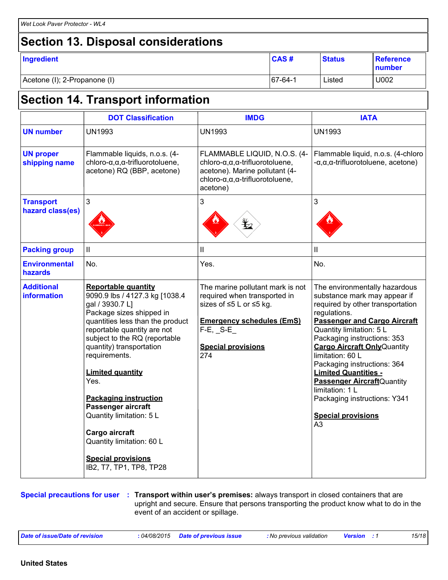# **Section 13. Disposal considerations**

| Ingredient                   | <b>CAS#</b> | <b>Status</b> | <b>Reference</b><br>number |
|------------------------------|-------------|---------------|----------------------------|
| Acetone (I); 2-Propanone (I) | 67-64-1     | Listed        | U002                       |

# **Section 14. Transport information**

|                                         | <b>DOT Classification</b>                                                                                                                                                                                                                                                                                                                                                                                                                                                                | <b>IMDG</b>                                                                                                                                                                          | <b>IATA</b>                                                                                                                                                                                                                                                                                                                                                                                                                                                      |
|-----------------------------------------|------------------------------------------------------------------------------------------------------------------------------------------------------------------------------------------------------------------------------------------------------------------------------------------------------------------------------------------------------------------------------------------------------------------------------------------------------------------------------------------|--------------------------------------------------------------------------------------------------------------------------------------------------------------------------------------|------------------------------------------------------------------------------------------------------------------------------------------------------------------------------------------------------------------------------------------------------------------------------------------------------------------------------------------------------------------------------------------------------------------------------------------------------------------|
| <b>UN number</b>                        | <b>UN1993</b>                                                                                                                                                                                                                                                                                                                                                                                                                                                                            | <b>UN1993</b>                                                                                                                                                                        | <b>UN1993</b>                                                                                                                                                                                                                                                                                                                                                                                                                                                    |
| <b>UN proper</b><br>shipping name       | Flammable liquids, n.o.s. (4-<br>chloro- $\alpha, \alpha, \alpha$ -trifluorotoluene,<br>acetone) RQ (BBP, acetone)                                                                                                                                                                                                                                                                                                                                                                       | FLAMMABLE LIQUID, N.O.S. (4-<br>chloro- $\alpha, \alpha$ , a-trifluorotoluene,<br>acetone). Marine pollutant (4-<br>chloro- $\alpha, \alpha$ , a-trifluorotoluene,<br>acetone)       | Flammable liquid, n.o.s. (4-chloro<br>$-\alpha, \alpha, \alpha$ -trifluorotoluene, acetone)                                                                                                                                                                                                                                                                                                                                                                      |
| <b>Transport</b><br>hazard class(es)    | $\mathfrak{S}$                                                                                                                                                                                                                                                                                                                                                                                                                                                                           | 3                                                                                                                                                                                    | 3                                                                                                                                                                                                                                                                                                                                                                                                                                                                |
| <b>Packing group</b>                    | $\mathbf{II}$                                                                                                                                                                                                                                                                                                                                                                                                                                                                            | Ш                                                                                                                                                                                    | Ш                                                                                                                                                                                                                                                                                                                                                                                                                                                                |
| <b>Environmental</b><br>hazards         | No.                                                                                                                                                                                                                                                                                                                                                                                                                                                                                      | Yes.                                                                                                                                                                                 | No.                                                                                                                                                                                                                                                                                                                                                                                                                                                              |
| <b>Additional</b><br><b>information</b> | <b>Reportable quantity</b><br>9090.9 lbs / 4127.3 kg [1038.4<br>gal / 3930.7 L]<br>Package sizes shipped in<br>quantities less than the product<br>reportable quantity are not<br>subject to the RQ (reportable<br>quantity) transportation<br>requirements.<br><b>Limited quantity</b><br>Yes.<br><b>Packaging instruction</b><br>Passenger aircraft<br>Quantity limitation: 5 L<br>Cargo aircraft<br>Quantity limitation: 60 L<br><b>Special provisions</b><br>IB2, T7, TP1, TP8, TP28 | The marine pollutant mark is not<br>required when transported in<br>sizes of ≤5 L or ≤5 kg.<br><b>Emergency schedules (EmS)</b><br>$F-E$ , $S-E$<br><b>Special provisions</b><br>274 | The environmentally hazardous<br>substance mark may appear if<br>required by other transportation<br>regulations.<br><b>Passenger and Cargo Aircraft</b><br>Quantity limitation: 5 L<br>Packaging instructions: 353<br><b>Cargo Aircraft Only Quantity</b><br>limitation: 60 L<br>Packaging instructions: 364<br><b>Limited Quantities -</b><br>Passenger AircraftQuantity<br>limitation: 1 L<br>Packaging instructions: Y341<br><b>Special provisions</b><br>A3 |

**Special precautions for user Transport within user's premises:** always transport in closed containers that are **:** upright and secure. Ensure that persons transporting the product know what to do in the event of an accident or spillage.

| Date of issue/Date of revision | : 04/08/2015     Date of previous issue | : No previous validation | <b>Version</b> : 1 | 15/18 |
|--------------------------------|-----------------------------------------|--------------------------|--------------------|-------|
|--------------------------------|-----------------------------------------|--------------------------|--------------------|-------|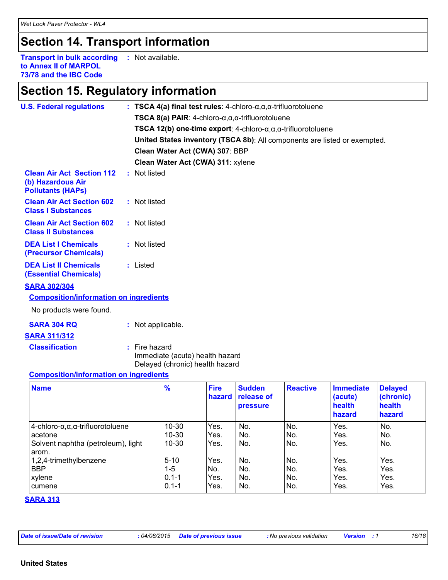## **Section 14. Transport information**

**Transport in bulk according :** Not available. **to Annex II of MARPOL 73/78 and the IBC Code**

## **Section 15. Regulatory information**

| <b>U.S. Federal regulations</b>                                                   | : TSCA 4(a) final test rules: 4-chloro- $\alpha, \alpha, \alpha$ -trifluorotoluene<br>TSCA 8(a) PAIR: $4$ -chloro- $\alpha, \alpha, \alpha$ -trifluorotoluene<br>Clean Water Act (CWA) 307: BBP |                       |                                         | TSCA 12(b) one-time export: $4$ -chloro- $\alpha, \alpha, \alpha$ -trifluorotoluene | United States inventory (TSCA 8b): All components are listed or exempted. |                                                 |
|-----------------------------------------------------------------------------------|-------------------------------------------------------------------------------------------------------------------------------------------------------------------------------------------------|-----------------------|-----------------------------------------|-------------------------------------------------------------------------------------|---------------------------------------------------------------------------|-------------------------------------------------|
| <b>Clean Air Act Section 112</b><br>(b) Hazardous Air<br><b>Pollutants (HAPs)</b> | Clean Water Act (CWA) 311: xylene<br>: Not listed                                                                                                                                               |                       |                                         |                                                                                     |                                                                           |                                                 |
| <b>Clean Air Act Section 602</b><br><b>Class I Substances</b>                     | : Not listed                                                                                                                                                                                    |                       |                                         |                                                                                     |                                                                           |                                                 |
| <b>Clean Air Act Section 602</b><br><b>Class II Substances</b>                    | : Not listed                                                                                                                                                                                    |                       |                                         |                                                                                     |                                                                           |                                                 |
| <b>DEA List I Chemicals</b><br>(Precursor Chemicals)                              | : Not listed                                                                                                                                                                                    |                       |                                         |                                                                                     |                                                                           |                                                 |
| <b>DEA List II Chemicals</b><br><b>(Essential Chemicals)</b>                      | : Listed                                                                                                                                                                                        |                       |                                         |                                                                                     |                                                                           |                                                 |
| <b>SARA 302/304</b>                                                               |                                                                                                                                                                                                 |                       |                                         |                                                                                     |                                                                           |                                                 |
| <b>Composition/information on ingredients</b>                                     |                                                                                                                                                                                                 |                       |                                         |                                                                                     |                                                                           |                                                 |
| No products were found.                                                           |                                                                                                                                                                                                 |                       |                                         |                                                                                     |                                                                           |                                                 |
| <b>SARA 304 RQ</b>                                                                | : Not applicable.                                                                                                                                                                               |                       |                                         |                                                                                     |                                                                           |                                                 |
| <b>SARA 311/312</b>                                                               |                                                                                                                                                                                                 |                       |                                         |                                                                                     |                                                                           |                                                 |
| <b>Classification</b>                                                             | $:$ Fire hazard<br>Immediate (acute) health hazard<br>Delayed (chronic) health hazard                                                                                                           |                       |                                         |                                                                                     |                                                                           |                                                 |
| <b>Composition/information on ingredients</b>                                     |                                                                                                                                                                                                 |                       |                                         |                                                                                     |                                                                           |                                                 |
| <b>Name</b>                                                                       | %                                                                                                                                                                                               | <b>Fire</b><br>hazard | <b>Sudden</b><br>release of<br>pressure | <b>Reactive</b>                                                                     | <b>Immediate</b><br>(acute)<br>health<br>hazard                           | <b>Delayed</b><br>(chronic)<br>health<br>hazard |
| $4$ -chloro- $\alpha, \alpha, \alpha$ -trifluorotoluene                           | 10-30                                                                                                                                                                                           | Yes.                  | No.                                     | No.                                                                                 | Yes.                                                                      | No.                                             |

Solvent naphtha (petroleum), light

acetone 10-30 | Yes. | No. | Yes. | Yes. | Yes. | No. | Yes. | No. | Yes. | No. | Yes. | No. | Yes. | No. | Ye

1,2,4-trimethylbenzene 5-10 Yes. No. No. Yes. Yes. BBP |1-5 |No. |No. |No. | Yes. | Yes. | xylene 0.1-1 Yes. No. No. Yes. Yes. cumene 0.1-1 Yes. No. No. Yes. Yes.

10-30 | Yes. | No. | No. | Yes. | No. | No. | No. | No. | No. | No. | No. | No. | No. | No. | No. | No. | No.

**SARA 313**

arom.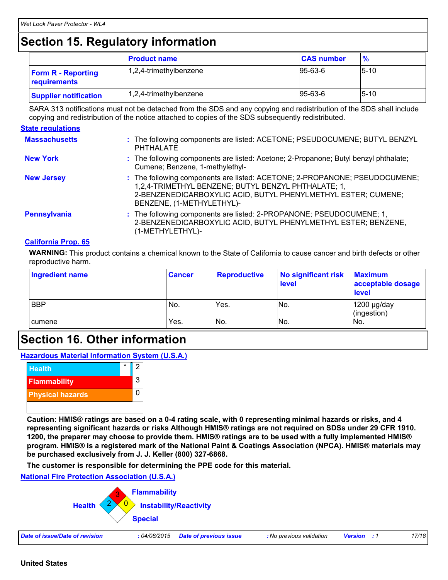### **Section 15. Regulatory information**

|                                           | <b>Product name</b>    | <b>CAS number</b> | $\frac{9}{6}$ |
|-------------------------------------------|------------------------|-------------------|---------------|
| <b>Form R - Reporting</b><br>requirements | 1,2,4-trimethylbenzene | $95-63-6$         | $5 - 10$      |
| <b>Supplier notification</b>              | 1,2,4-trimethylbenzene | $95-63-6$         | $5 - 10$      |

SARA 313 notifications must not be detached from the SDS and any copying and redistribution of the SDS shall include copying and redistribution of the notice attached to copies of the SDS subsequently redistributed.

#### **State regulations**

| <b>Massachusetts</b> | : The following components are listed: ACETONE; PSEUDOCUMENE; BUTYL BENZYL<br><b>PHTHALATE</b>                                                                                                                                  |
|----------------------|---------------------------------------------------------------------------------------------------------------------------------------------------------------------------------------------------------------------------------|
| <b>New York</b>      | : The following components are listed: Acetone; 2-Propanone; Butyl benzyl phthalate;<br>Cumene; Benzene, 1-methylethyl-                                                                                                         |
| <b>New Jersey</b>    | : The following components are listed: ACETONE; 2-PROPANONE; PSEUDOCUMENE;<br>1,2,4-TRIMETHYL BENZENE; BUTYL BENZYL PHTHALATE; 1,<br>2-BENZENEDICARBOXYLIC ACID, BUTYL PHENYLMETHYL ESTER; CUMENE;<br>BENZENE, (1-METHYLETHYL)- |
| Pennsylvania         | : The following components are listed: 2-PROPANONE; PSEUDOCUMENE; 1,<br>2-BENZENEDICARBOXYLIC ACID, BUTYL PHENYLMETHYL ESTER; BENZENE,<br>(1-METHYLETHYL)-                                                                      |

#### **California Prop. 65**

**WARNING:** This product contains a chemical known to the State of California to cause cancer and birth defects or other reproductive harm.

| Ingredient name | <b>Cancer</b> | <b>Reproductive</b> | No significant risk<br>level | <b>Maximum</b><br>acceptable dosage<br><b>level</b> |
|-----------------|---------------|---------------------|------------------------------|-----------------------------------------------------|
| <b>BBP</b>      | No.           | Yes.                | No.                          | $1200$ µg/day<br>(ingestion)                        |
| I cumene        | Yes.          | INo.                | No.                          | No.                                                 |

### **Section 16. Other information**

**Hazardous Material Information System (U.S.A.)**



**Caution: HMIS® ratings are based on a 0-4 rating scale, with 0 representing minimal hazards or risks, and 4 representing significant hazards or risks Although HMIS® ratings are not required on SDSs under 29 CFR 1910. 1200, the preparer may choose to provide them. HMIS® ratings are to be used with a fully implemented HMIS® program. HMIS® is a registered mark of the National Paint & Coatings Association (NPCA). HMIS® materials may be purchased exclusively from J. J. Keller (800) 327-6868.**

**The customer is responsible for determining the PPE code for this material.**

**National Fire Protection Association (U.S.A.)**